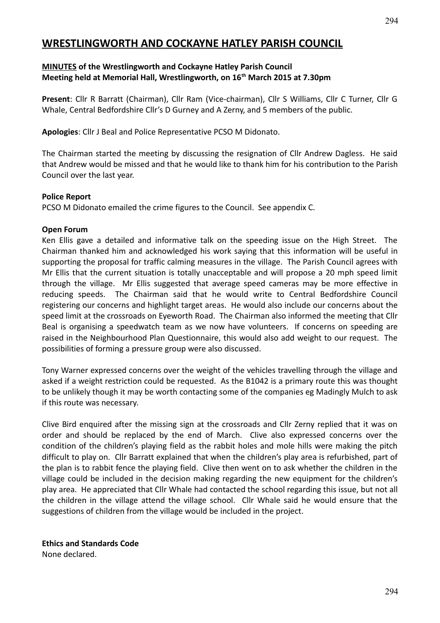# **WRESTLINGWORTH AND COCKAYNE HATLEY PARISH COUNCIL**

#### **MINUTES of the Wrestlingworth and Cockayne Hatley Parish Council Meeting held at Memorial Hall, Wrestlingworth, on 16th March 2015 at 7.30pm**

**Present**: Cllr R Barratt (Chairman), Cllr Ram (Vice-chairman), Cllr S Williams, Cllr C Turner, Cllr G Whale, Central Bedfordshire Cllr's D Gurney and A Zerny, and 5 members of the public.

**Apologies**: Cllr J Beal and Police Representative PCSO M Didonato.

The Chairman started the meeting by discussing the resignation of Cllr Andrew Dagless. He said that Andrew would be missed and that he would like to thank him for his contribution to the Parish Council over the last year.

#### **Police Report**

PCSO M Didonato emailed the crime figures to the Council. See appendix C.

#### **Open Forum**

Ken Ellis gave a detailed and informative talk on the speeding issue on the High Street. The Chairman thanked him and acknowledged his work saying that this information will be useful in supporting the proposal for traffic calming measures in the village. The Parish Council agrees with Mr Ellis that the current situation is totally unacceptable and will propose a 20 mph speed limit through the village. Mr Ellis suggested that average speed cameras may be more effective in reducing speeds. The Chairman said that he would write to Central Bedfordshire Council registering our concerns and highlight target areas. He would also include our concerns about the speed limit at the crossroads on Eyeworth Road. The Chairman also informed the meeting that Cllr Beal is organising a speedwatch team as we now have volunteers. If concerns on speeding are raised in the Neighbourhood Plan Questionnaire, this would also add weight to our request. The possibilities of forming a pressure group were also discussed.

Tony Warner expressed concerns over the weight of the vehicles travelling through the village and asked if a weight restriction could be requested. As the B1042 is a primary route this was thought to be unlikely though it may be worth contacting some of the companies eg Madingly Mulch to ask if this route was necessary.

Clive Bird enquired after the missing sign at the crossroads and Cllr Zerny replied that it was on order and should be replaced by the end of March. Clive also expressed concerns over the condition of the children's playing field as the rabbit holes and mole hills were making the pitch difficult to play on. Cllr Barratt explained that when the children's play area is refurbished, part of the plan is to rabbit fence the playing field. Clive then went on to ask whether the children in the village could be included in the decision making regarding the new equipment for the children's play area. He appreciated that Cllr Whale had contacted the school regarding this issue, but not all the children in the village attend the village school. Cllr Whale said he would ensure that the suggestions of children from the village would be included in the project.

#### **Ethics and Standards Code**

None declared.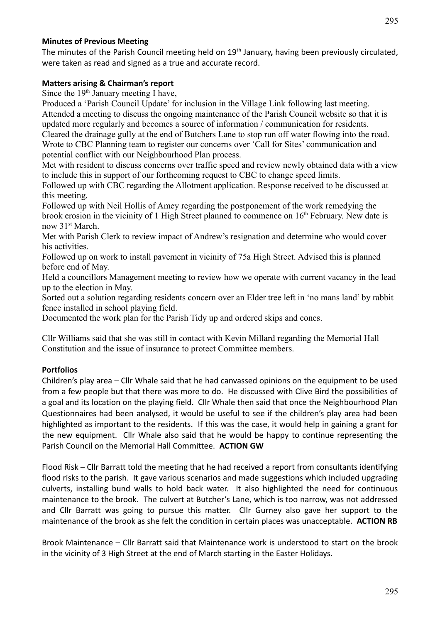#### **Minutes of Previous Meeting**

The minutes of the Parish Council meeting held on 19<sup>th</sup> January, having been previously circulated, were taken as read and signed as a true and accurate record.

#### **Matters arising & Chairman's report**

Since the 19<sup>th</sup> January meeting I have,

Produced a 'Parish Council Update' for inclusion in the Village Link following last meeting. Attended a meeting to discuss the ongoing maintenance of the Parish Council website so that it is updated more regularly and becomes a source of information / communication for residents. Cleared the drainage gully at the end of Butchers Lane to stop run off water flowing into the road. Wrote to CBC Planning team to register our concerns over 'Call for Sites' communication and potential conflict with our Neighbourhood Plan process.

Met with resident to discuss concerns over traffic speed and review newly obtained data with a view to include this in support of our forthcoming request to CBC to change speed limits.

Followed up with CBC regarding the Allotment application. Response received to be discussed at this meeting.

Followed up with Neil Hollis of Amey regarding the postponement of the work remedying the brook erosion in the vicinity of 1 High Street planned to commence on  $16<sup>th</sup>$  February. New date is now 31<sup>st</sup> March.

Met with Parish Clerk to review impact of Andrew's resignation and determine who would cover his activities.

Followed up on work to install pavement in vicinity of 75a High Street. Advised this is planned before end of May.

Held a councillors Management meeting to review how we operate with current vacancy in the lead up to the election in May.

Sorted out a solution regarding residents concern over an Elder tree left in 'no mans land' by rabbit fence installed in school playing field.

Documented the work plan for the Parish Tidy up and ordered skips and cones.

Cllr Williams said that she was still in contact with Kevin Millard regarding the Memorial Hall Constitution and the issue of insurance to protect Committee members.

#### **Portfolios**

Children's play area – Cllr Whale said that he had canvassed opinions on the equipment to be used from a few people but that there was more to do. He discussed with Clive Bird the possibilities of a goal and its location on the playing field. Cllr Whale then said that once the Neighbourhood Plan Questionnaires had been analysed, it would be useful to see if the children's play area had been highlighted as important to the residents. If this was the case, it would help in gaining a grant for the new equipment. Cllr Whale also said that he would be happy to continue representing the Parish Council on the Memorial Hall Committee. **ACTION GW**

Flood Risk – Cllr Barratt told the meeting that he had received a report from consultants identifying flood risks to the parish. It gave various scenarios and made suggestions which included upgrading culverts, installing bund walls to hold back water. It also highlighted the need for continuous maintenance to the brook. The culvert at Butcher's Lane, which is too narrow, was not addressed and Cllr Barratt was going to pursue this matter. Cllr Gurney also gave her support to the maintenance of the brook as she felt the condition in certain places was unacceptable. **ACTION RB**

Brook Maintenance – Cllr Barratt said that Maintenance work is understood to start on the brook in the vicinity of 3 High Street at the end of March starting in the Easter Holidays.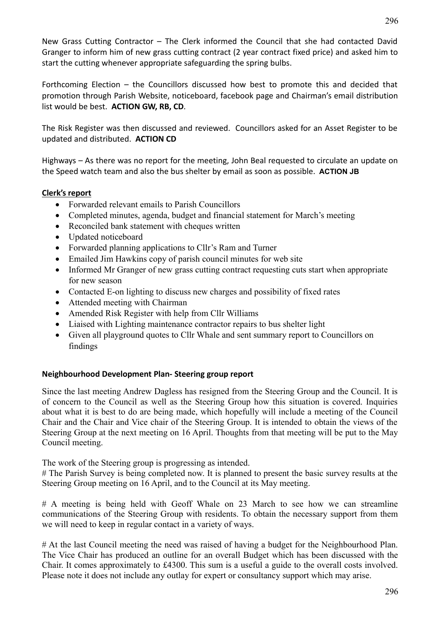New Grass Cutting Contractor – The Clerk informed the Council that she had contacted David Granger to inform him of new grass cutting contract (2 year contract fixed price) and asked him to start the cutting whenever appropriate safeguarding the spring bulbs.

Forthcoming Election – the Councillors discussed how best to promote this and decided that promotion through Parish Website, noticeboard, facebook page and Chairman's email distribution list would be best. **ACTION GW, RB, CD**.

The Risk Register was then discussed and reviewed. Councillors asked for an Asset Register to be updated and distributed. **ACTION CD**

Highways – As there was no report for the meeting, John Beal requested to circulate an update on the Speed watch team and also the bus shelter by email as soon as possible. **ACTION JB**

#### **Clerk's report**

- Forwarded relevant emails to Parish Councillors
- Completed minutes, agenda, budget and financial statement for March's meeting
- Reconciled bank statement with cheques written
- Updated noticeboard
- Forwarded planning applications to Cllr's Ram and Turner
- Emailed Jim Hawkins copy of parish council minutes for web site
- Informed Mr Granger of new grass cutting contract requesting cuts start when appropriate for new season
- Contacted E-on lighting to discuss new charges and possibility of fixed rates
- Attended meeting with Chairman
- Amended Risk Register with help from Cllr Williams
- Liaised with Lighting maintenance contractor repairs to bus shelter light
- Given all playground quotes to Cllr Whale and sent summary report to Councillors on findings

#### **Neighbourhood Development Plan- Steering group report**

Since the last meeting Andrew Dagless has resigned from the Steering Group and the Council. It is of concern to the Council as well as the Steering Group how this situation is covered. Inquiries about what it is best to do are being made, which hopefully will include a meeting of the Council Chair and the Chair and Vice chair of the Steering Group. It is intended to obtain the views of the Steering Group at the next meeting on 16 April. Thoughts from that meeting will be put to the May Council meeting.

The work of the Steering group is progressing as intended.

# The Parish Survey is being completed now. It is planned to present the basic survey results at the Steering Group meeting on 16 April, and to the Council at its May meeting.

# A meeting is being held with Geoff Whale on 23 March to see how we can streamline communications of the Steering Group with residents. To obtain the necessary support from them we will need to keep in regular contact in a variety of ways.

# At the last Council meeting the need was raised of having a budget for the Neighbourhood Plan. The Vice Chair has produced an outline for an overall Budget which has been discussed with the Chair. It comes approximately to £4300. This sum is a useful a guide to the overall costs involved. Please note it does not include any outlay for expert or consultancy support which may arise.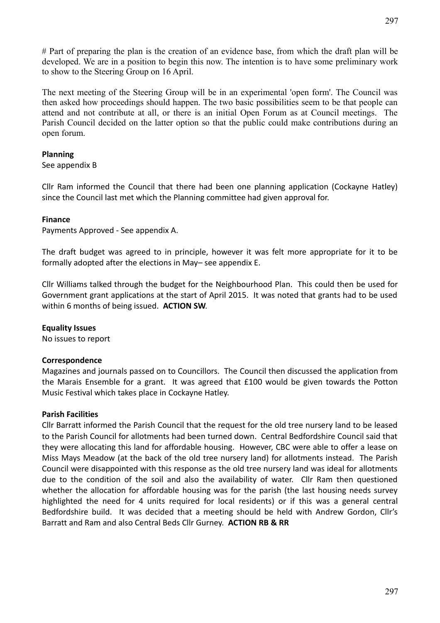# Part of preparing the plan is the creation of an evidence base, from which the draft plan will be developed. We are in a position to begin this now. The intention is to have some preliminary work to show to the Steering Group on 16 April.

The next meeting of the Steering Group will be in an experimental 'open form'. The Council was then asked how proceedings should happen. The two basic possibilities seem to be that people can attend and not contribute at all, or there is an initial Open Forum as at Council meetings. The Parish Council decided on the latter option so that the public could make contributions during an open forum.

#### **Planning**

See appendix B

Cllr Ram informed the Council that there had been one planning application (Cockayne Hatley) since the Council last met which the Planning committee had given approval for.

#### **Finance**

Payments Approved - See appendix A.

The draft budget was agreed to in principle, however it was felt more appropriate for it to be formally adopted after the elections in May– see appendix E.

Cllr Williams talked through the budget for the Neighbourhood Plan. This could then be used for Government grant applications at the start of April 2015. It was noted that grants had to be used within 6 months of being issued. **ACTION SW**.

#### **Equality Issues**

No issues to report

#### **Correspondence**

Magazines and journals passed on to Councillors. The Council then discussed the application from the Marais Ensemble for a grant. It was agreed that £100 would be given towards the Potton Music Festival which takes place in Cockayne Hatley.

#### **Parish Facilities**

Cllr Barratt informed the Parish Council that the request for the old tree nursery land to be leased to the Parish Council for allotments had been turned down. Central Bedfordshire Council said that they were allocating this land for affordable housing. However, CBC were able to offer a lease on Miss Mays Meadow (at the back of the old tree nursery land) for allotments instead. The Parish Council were disappointed with this response as the old tree nursery land was ideal for allotments due to the condition of the soil and also the availability of water. Cllr Ram then questioned whether the allocation for affordable housing was for the parish (the last housing needs survey highlighted the need for 4 units required for local residents) or if this was a general central Bedfordshire build. It was decided that a meeting should be held with Andrew Gordon, Cllr's Barratt and Ram and also Central Beds Cllr Gurney. **ACTION RB & RR**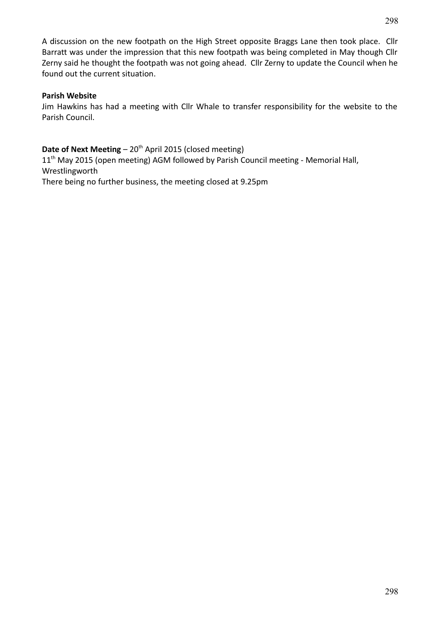A discussion on the new footpath on the High Street opposite Braggs Lane then took place. Cllr Barratt was under the impression that this new footpath was being completed in May though Cllr Zerny said he thought the footpath was not going ahead. Cllr Zerny to update the Council when he found out the current situation.

#### **Parish Website**

Jim Hawkins has had a meeting with Cllr Whale to transfer responsibility for the website to the Parish Council.

#### **Date of Next Meeting** – 20<sup>th</sup> April 2015 (closed meeting)

11<sup>th</sup> May 2015 (open meeting) AGM followed by Parish Council meeting - Memorial Hall, Wrestlingworth There being no further business, the meeting closed at 9.25pm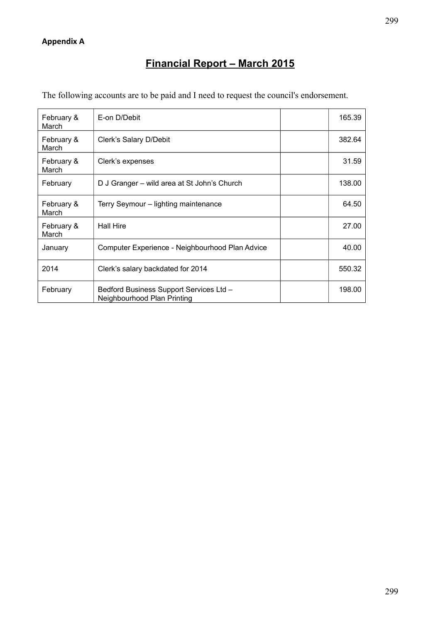# **Financial Report – March 2015**

|              | The following accounts are to be paid and I need to request the council's endorsement. |        |
|--------------|----------------------------------------------------------------------------------------|--------|
| ∣ February & | E-on D/Debit                                                                           | 165.39 |

| <b>February &amp;</b><br>March | E-ON D/DEDIT                                                           | 165.39 |
|--------------------------------|------------------------------------------------------------------------|--------|
| February &<br>March            | Clerk's Salary D/Debit                                                 | 382.64 |
| February &<br>March            | Clerk's expenses                                                       | 31.59  |
| February                       | D J Granger - wild area at St John's Church                            | 138.00 |
| February &<br>March            | Terry Seymour – lighting maintenance                                   | 64.50  |
| February &<br>March            | <b>Hall Hire</b>                                                       | 27.00  |
| January                        | Computer Experience - Neighbourhood Plan Advice                        | 40.00  |
| 2014                           | Clerk's salary backdated for 2014                                      | 550.32 |
| February                       | Bedford Business Support Services Ltd -<br>Neighbourhood Plan Printing | 198.00 |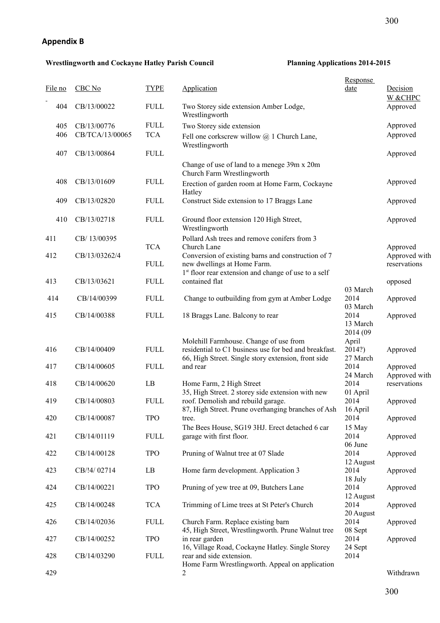#### **Appendix B**

#### **Wrestlingworth and Cockayne Hatley Parish Council Planning Applications 2014-2015**

300

|         |                 |             |                                                                                                              | <b>Response</b>              |                               |
|---------|-----------------|-------------|--------------------------------------------------------------------------------------------------------------|------------------------------|-------------------------------|
| File no | CBC No          | <b>TYPE</b> | Application                                                                                                  | <u>date</u>                  | Decision<br>W &CHPC           |
| 404     | CB/13/00022     | <b>FULL</b> | Two Storey side extension Amber Lodge,<br>Wrestlingworth                                                     |                              | Approved                      |
| 405     | CB/13/00776     | <b>FULL</b> | Two Storey side extension                                                                                    |                              | Approved                      |
| 406     | CB/TCA/13/00065 | <b>TCA</b>  | Fell one corkscrew willow $\omega$ 1 Church Lane,<br>Wrestlingworth                                          |                              | Approved                      |
| 407     | CB/13/00864     | <b>FULL</b> |                                                                                                              |                              | Approved                      |
|         |                 |             | Change of use of land to a menege 39m x 20m<br>Church Farm Wrestlingworth                                    |                              |                               |
| 408     | CB/13/01609     | <b>FULL</b> | Erection of garden room at Home Farm, Cockayne<br>Hatley                                                     |                              | Approved                      |
| 409     | CB/13/02820     | <b>FULL</b> | Construct Side extension to 17 Braggs Lane                                                                   |                              | Approved                      |
| 410     | CB/13/02718     | <b>FULL</b> | Ground floor extension 120 High Street,<br>Wrestlingworth                                                    |                              | Approved                      |
| 411     | CB/13/00395     | <b>TCA</b>  | Pollard Ash trees and remove conifers from 3<br>Church Lane                                                  |                              | Approved                      |
| 412     | CB/13/03262/4   | <b>FULL</b> | Conversion of existing barns and construction of 7<br>new dwellings at Home Farm.                            |                              | Approved with<br>reservations |
| 413     | CB/13/03621     | <b>FULL</b> | 1 <sup>st</sup> floor rear extension and change of use to a self<br>contained flat                           |                              | opposed                       |
| 414     | CB/14/00399     | <b>FULL</b> | Change to outbuilding from gym at Amber Lodge                                                                | 03 March<br>2014             | Approved                      |
|         |                 |             |                                                                                                              | 03 March                     |                               |
| 415     | CB/14/00388     | <b>FULL</b> | 18 Braggs Lane. Balcony to rear                                                                              | 2014<br>13 March<br>2014 (09 | Approved                      |
|         |                 |             | Molehill Farmhouse. Change of use from                                                                       | April                        |                               |
| 416     | CB/14/00409     | <b>FULL</b> | residential to C1 business use for bed and breakfast.<br>66, High Street. Single story extension, front side | 2014?)<br>27 March           | Approved                      |
| 417     | CB/14/00605     | <b>FULL</b> | and rear                                                                                                     | 2014<br>24 March             | Approved<br>Approved with     |
| 418     | CB/14/00620     | LB          | Home Farm, 2 High Street                                                                                     | 2014                         | reservations                  |
| 419     | CB/14/00803     | <b>FULL</b> | 35, High Street. 2 storey side extension with new<br>roof. Demolish and rebuild garage.                      | 01 April<br>2014             | Approved                      |
| 420     | CB/14/00087     | <b>TPO</b>  | 87, High Street. Prune overhanging branches of Ash<br>tree.                                                  | 16 April<br>2014             | Approved                      |
|         |                 |             | The Bees House, SG19 3HJ. Erect detached 6 car                                                               | 15 May                       |                               |
| 421     | CB/14/01119     | <b>FULL</b> | garage with first floor.                                                                                     | 2014<br>06 June              | Approved                      |
| 422     | CB/14/00128     | <b>TPO</b>  | Pruning of Walnut tree at 07 Slade                                                                           | 2014<br>12 August            | Approved                      |
| 423     | CB/!4/02714     | LB          | Home farm development. Application 3                                                                         | 2014<br>18 July              | Approved                      |
| 424     | CB/14/00221     | <b>TPO</b>  | Pruning of yew tree at 09, Butchers Lane                                                                     | 2014                         | Approved                      |
| 425     | CB/14/00248     | <b>TCA</b>  | Trimming of Lime trees at St Peter's Church                                                                  | 12 August<br>2014            | Approved                      |
| 426     | CB/14/02036     | <b>FULL</b> | Church Farm. Replace existing barn<br>45, High Street, Wrestlingworth. Prune Walnut tree                     | 20 August<br>2014<br>08 Sept | Approved                      |
| 427     | CB/14/00252     | <b>TPO</b>  | in rear garden                                                                                               | 2014                         | Approved                      |
| 428     | CB/14/03290     | <b>FULL</b> | 16, Village Road, Cockayne Hatley. Single Storey<br>rear and side extension.                                 | 24 Sept<br>2014              |                               |
| 429     |                 |             | Home Farm Wrestlingworth. Appeal on application<br>2                                                         |                              | Withdrawn                     |
|         |                 |             |                                                                                                              |                              |                               |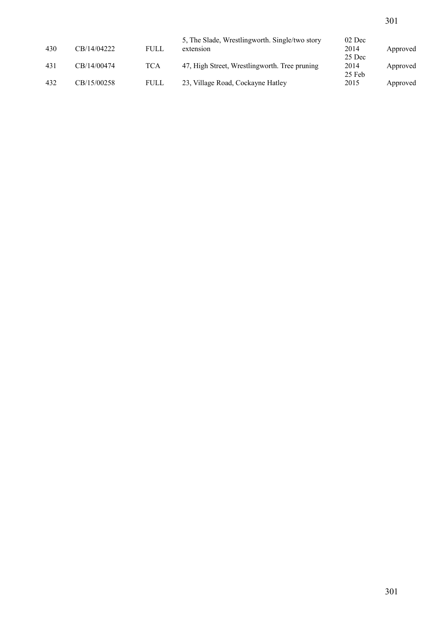|     |             |      | 5, The Slade, Wrestlingworth. Single/two story | 02 Dec |          |
|-----|-------------|------|------------------------------------------------|--------|----------|
| 430 | CB/14/04222 | FULL | extension                                      | 2014   | Approved |
|     |             |      |                                                | 25 Dec |          |
| 431 | CB/14/00474 | TCA  | 47, High Street, Wrestlingworth. Tree pruning  | 2014   | Approved |
|     |             |      |                                                | 25 Feb |          |
| 432 | CB/15/00258 | FULL | 23, Village Road, Cockayne Hatley              | 2015   | Approved |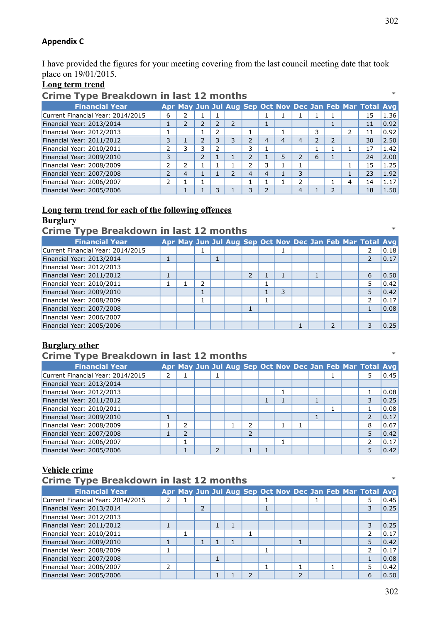#### **Appendix C**

I have provided the figures for your meeting covering from the last council meeting date that took place on 19/01/2015.

#### **Long term trend**

#### **Crime Type Breakdown in last 12 months**

| --<br><b>Financial Year</b>       |                          |   |   |    |               |   |                |                |   |   | Apr May Jun Jul Aug Sep Oct Nov Dec Jan Feb Mar Total Avg |      |
|-----------------------------------|--------------------------|---|---|----|---------------|---|----------------|----------------|---|---|-----------------------------------------------------------|------|
| Current Financial Year: 2014/2015 | 6                        |   |   |    |               |   |                |                |   |   | 15                                                        | 1.36 |
| Financial Year: 2013/2014         | J.                       | 2 |   | 2  |               |   |                |                |   |   | 11                                                        | 0.92 |
| Financial Year: 2012/2013         |                          |   |   |    |               |   |                |                |   | 2 | 11                                                        | 0.92 |
| Financial Year: 2011/2012         | 3                        |   |   | 3  | ว             | 4 | $\overline{4}$ | 4              | 2 |   | 30                                                        | 2.50 |
| Financial Year: 2010/2011         |                          | 3 | 3 |    | 3             |   |                |                |   |   | 17                                                        | 1.42 |
| Financial Year: 2009/2010         | 3                        |   | 2 |    | $\mathcal{P}$ |   | 5              | C.             | 6 |   | 24                                                        | 2.00 |
| Financial Year: 2008/2009         | 2                        | 2 |   |    | ר             | 3 |                |                |   |   | 15                                                        | 1.25 |
| Financial Year: 2007/2008         | $\overline{\phantom{a}}$ | 4 |   | ົາ | 4             | 4 |                | 3              |   |   | 23                                                        | 1.92 |
| Financial Year: 2006/2007         | 2                        |   |   |    |               |   |                | $\mathcal{P}$  |   | 4 | 14                                                        | 1.17 |
| Financial Year: 2005/2006         |                          |   |   |    | 3             | ∍ |                | $\overline{4}$ |   |   | 18                                                        | 1.50 |

#### **Long term trend for each of the following offences Burglary**

**Crime Type Breakdown in last 12 months**

| <b>Financial Year</b>             |   |   |  |                          |   |  |   | Apr May Jun Jul Aug Sep Oct Nov Dec Jan Feb Mar Total Avg |      |
|-----------------------------------|---|---|--|--------------------------|---|--|---|-----------------------------------------------------------|------|
| Current Financial Year: 2014/2015 |   |   |  |                          |   |  |   |                                                           | 0.18 |
| Financial Year: 2013/2014         | Ŧ |   |  |                          |   |  |   |                                                           | 0.17 |
| Financial Year: 2012/2013         |   |   |  |                          |   |  |   |                                                           |      |
| Financial Year: 2011/2012         |   |   |  | $\overline{\phantom{a}}$ |   |  |   | 6                                                         | 0.50 |
| Financial Year: 2010/2011         |   | っ |  |                          |   |  |   | 5                                                         | 0.42 |
| Financial Year: 2009/2010         |   |   |  |                          | 3 |  |   | 5                                                         | 0.42 |
| Financial Year: 2008/2009         |   |   |  |                          |   |  |   | 2                                                         | 0.17 |
| Financial Year: 2007/2008         |   |   |  |                          |   |  |   |                                                           | 0.08 |
| Financial Year: 2006/2007         |   |   |  |                          |   |  |   |                                                           |      |
| Financial Year: 2005/2006         |   |   |  |                          |   |  | ∍ | 3                                                         | 0.25 |

#### **Burglary other**

### **Crime Type Breakdown in last 12 months**

| <b>Financial Year</b>             |   |   |                          |   |  |  |  | Apr May Jun Jul Aug Sep Oct Nov Dec Jan Feb Mar Total Avg |                |
|-----------------------------------|---|---|--------------------------|---|--|--|--|-----------------------------------------------------------|----------------|
| Current Financial Year: 2014/2015 | 2 |   |                          |   |  |  |  | 5                                                         | 0.45           |
| Financial Year: 2013/2014         |   |   |                          |   |  |  |  |                                                           |                |
| Financial Year: 2012/2013         |   |   |                          |   |  |  |  |                                                           | 0.08           |
| Financial Year: 2011/2012         |   |   |                          |   |  |  |  | 3                                                         | 0.25           |
| Financial Year: 2010/2011         |   |   |                          |   |  |  |  |                                                           | 0.08           |
| Financial Year: 2009/2010         |   |   |                          |   |  |  |  |                                                           | $ 0.17\rangle$ |
| Financial Year: 2008/2009         |   | 2 |                          | ว |  |  |  | 8                                                         | 0.67           |
| Financial Year: 2007/2008         |   | 2 |                          | っ |  |  |  | 5                                                         | 0.42           |
| Financial Year: 2006/2007         |   |   |                          |   |  |  |  |                                                           | 0.17           |
| Financial Year: 2005/2006         |   |   | $\overline{\phantom{0}}$ |   |  |  |  |                                                           | 0.42           |

#### **Vehicle crime**

#### **Crime Type Breakdown in last 12 months**

| <b>Financial Year</b>             |   |  |  |  |   |  | Apr May Jun Jul Aug Sep Oct Nov Dec Jan Feb Mar Total Avg |      |
|-----------------------------------|---|--|--|--|---|--|-----------------------------------------------------------|------|
| Current Financial Year: 2014/2015 |   |  |  |  |   |  | 5                                                         | 0.45 |
| Financial Year: 2013/2014         |   |  |  |  |   |  |                                                           | 0.25 |
| Financial Year: 2012/2013         |   |  |  |  |   |  |                                                           |      |
| Financial Year: 2011/2012         |   |  |  |  |   |  | 3                                                         | 0.25 |
| Financial Year: 2010/2011         |   |  |  |  |   |  |                                                           | 0.17 |
| Financial Year: 2009/2010         |   |  |  |  |   |  | 5                                                         | 0.42 |
| Financial Year: 2008/2009         |   |  |  |  |   |  |                                                           | 0.17 |
| Financial Year: 2007/2008         |   |  |  |  |   |  |                                                           | 0.08 |
| Financial Year: 2006/2007         | 2 |  |  |  |   |  |                                                           | 0.42 |
| Financial Year: 2005/2006         |   |  |  |  | ว |  | 6                                                         | 0.50 |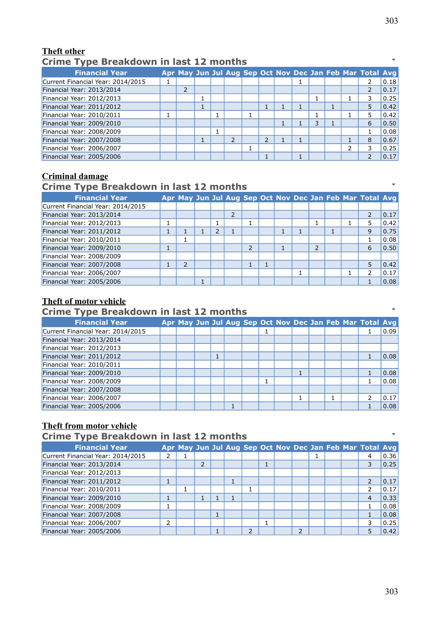### **Theft other Crime Type Breakdown in last 12 months**

| <b>Financial Year</b>             |   |  |                          |                          |  |   |               | Apr May Jun Jul Aug Sep Oct Nov Dec Jan Feb Mar Total Avg |      |
|-----------------------------------|---|--|--------------------------|--------------------------|--|---|---------------|-----------------------------------------------------------|------|
| Current Financial Year: 2014/2015 |   |  |                          |                          |  |   |               |                                                           | 0.18 |
| Financial Year: 2013/2014         | 2 |  |                          |                          |  |   |               |                                                           | 0.17 |
| Financial Year: 2012/2013         |   |  |                          |                          |  |   |               | 3                                                         | 0.25 |
| Financial Year: 2011/2012         |   |  |                          |                          |  |   |               |                                                           | 0.42 |
| Financial Year: 2010/2011         |   |  |                          |                          |  |   |               |                                                           | 0.42 |
| Financial Year: 2009/2010         |   |  |                          |                          |  | 3 |               | 6                                                         | 0.50 |
| Financial Year: 2008/2009         |   |  |                          |                          |  |   |               |                                                           | 0.08 |
| Financial Year: 2007/2008         |   |  | $\overline{\phantom{a}}$ | $\overline{\phantom{a}}$ |  |   |               | 8                                                         | 0.67 |
| Financial Year: 2006/2007         |   |  |                          |                          |  |   | $\mathcal{P}$ | 3                                                         | 0.25 |
| Financial Year: 2005/2006         |   |  |                          |                          |  |   |               |                                                           | 0.17 |

### **Criminal damage**

### **Crime Type Breakdown in last 12 months**

| <b>Financial Year</b>             |               |  |   |  |  |  | Apr May Jun Jul Aug Sep Oct Nov Dec Jan Feb Mar Total Avg |      |
|-----------------------------------|---------------|--|---|--|--|--|-----------------------------------------------------------|------|
| Current Financial Year: 2014/2015 |               |  |   |  |  |  |                                                           |      |
| Financial Year: 2013/2014         |               |  |   |  |  |  |                                                           | 0.17 |
| Financial Year: 2012/2013         |               |  |   |  |  |  | 5                                                         | 0.42 |
| Financial Year: 2011/2012         |               |  |   |  |  |  | 9                                                         | 0.75 |
| Financial Year: 2010/2011         |               |  |   |  |  |  |                                                           | 0.08 |
| Financial Year: 2009/2010         |               |  | 2 |  |  |  | 6                                                         | 0.50 |
| Financial Year: 2008/2009         |               |  |   |  |  |  |                                                           |      |
| Financial Year: 2007/2008         | $\mathcal{P}$ |  |   |  |  |  | 5                                                         | 0.42 |
| Financial Year: 2006/2007         |               |  |   |  |  |  |                                                           | 0.17 |
| Financial Year: 2005/2006         |               |  |   |  |  |  |                                                           | 0.08 |

#### **Theft of motor vehicle**

#### **Crime Type Breakdown in last 12 months**

| <b>Financial Year</b>             |  |  |  |  |  |  | Apr May Jun Jul Aug Sep Oct Nov Dec Jan Feb Mar Total Avg |      |
|-----------------------------------|--|--|--|--|--|--|-----------------------------------------------------------|------|
| Current Financial Year: 2014/2015 |  |  |  |  |  |  |                                                           | 0.09 |
| Financial Year: 2013/2014         |  |  |  |  |  |  |                                                           |      |
| Financial Year: 2012/2013         |  |  |  |  |  |  |                                                           |      |
| Financial Year: 2011/2012         |  |  |  |  |  |  |                                                           | 0.08 |
| Financial Year: 2010/2011         |  |  |  |  |  |  |                                                           |      |
| Financial Year: 2009/2010         |  |  |  |  |  |  |                                                           | 0.08 |
| Financial Year: 2008/2009         |  |  |  |  |  |  |                                                           | 0.08 |
| Financial Year: 2007/2008         |  |  |  |  |  |  |                                                           |      |
| Financial Year: 2006/2007         |  |  |  |  |  |  |                                                           | 0.17 |
| Financial Year: 2005/2006         |  |  |  |  |  |  |                                                           | 0.08 |

#### **Theft from motor vehicle**

**Crime Type Breakdown in last 12 months Financial Year Apr May Jun Jul Aug Sep Oct Nov Dec Jan Feb Mar Total Avg** Current Financial Year: 2014/2015 2 1 1 4 0.36 Financial Year: 2013/2014 2 1 3 0.25 Financial Year: 2012/2013 Financial Year: 2011/2012 1 1 1 1 1 1 1 1 1 1 1 1 2 0.17 Financial Year: 2010/2011 1 1 1 1 1 1 1 1 1 1 1 2 0.17<br>Financial Year: 2009/2010 1 1 1 1 1 1 1 1 1 4 0.33 Financial Year: 2009/2010 1 1 1 1 1 Financial Year: 2008/2009 1 1 0.08 Financial Year: 2007/2008 1 1 0.08 Financial Year: 2006/2007 2 2 1 3 0.25<br>
Financial Year: 2005/2006 1 3 0.25 Financial Year: 2005/2006 1 2 2 2 3 42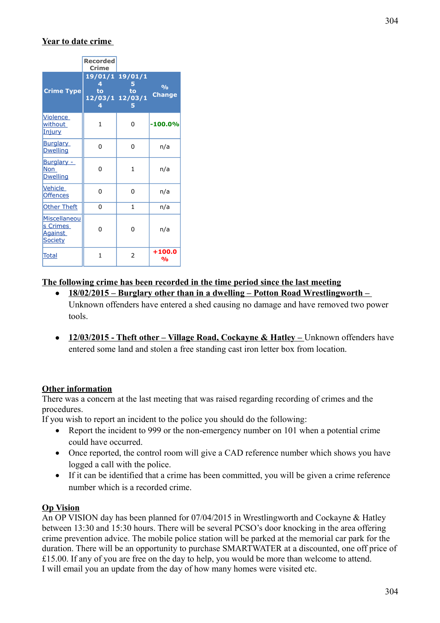#### **Year to date crime**

|                                                       | <b>Recorded</b><br>Crime        |                       |                                |
|-------------------------------------------------------|---------------------------------|-----------------------|--------------------------------|
| <b>Crime Type</b>                                     | 4<br>to<br>12/03/1 12/03/1<br>4 | 19/01/1 19/01/1<br>to | $\frac{0}{0}$<br><b>Change</b> |
| Violence<br>without<br><u>Injury</u>                  | 1                               | 0                     | $-100.0%$                      |
| <b>Burglary</b><br><b>Dwelling</b>                    | $\Omega$                        | 0                     | n/a                            |
| Burglary -<br>Non<br><b>Dwelling</b>                  | 0                               | 1                     | n/a                            |
| Vehicle<br><b>Offences</b>                            | 0                               | 0                     | n/a                            |
| <b>Other Theft</b>                                    | 0                               | 1                     | n/a                            |
| Miscellaneou<br>s Crimes<br><b>Against</b><br>Society | U                               | 0                     | n/a                            |
| Total                                                 | 1                               | 2                     | $+100.0$<br>%                  |

#### **The following crime has been recorded in the time period since the last meeting**

- **18/02/2015 Burglary other than in a dwelling Potton Road Wrestlingworth**  Unknown offenders have entered a shed causing no damage and have removed two power tools.
- **12/03/2015 Theft other Village Road, Cockayne & Hatley Unknown offenders have** entered some land and stolen a free standing cast iron letter box from location.

#### **Other information**

There was a concern at the last meeting that was raised regarding recording of crimes and the procedures.

If you wish to report an incident to the police you should do the following:

- Report the incident to 999 or the non-emergency number on 101 when a potential crime could have occurred.
- Once reported, the control room will give a CAD reference number which shows you have logged a call with the police.
- If it can be identified that a crime has been committed, you will be given a crime reference number which is a recorded crime.

#### **Op Vision**

An OP VISION day has been planned for 07/04/2015 in Wrestlingworth and Cockayne & Hatley between 13:30 and 15:30 hours. There will be several PCSO's door knocking in the area offering crime prevention advice. The mobile police station will be parked at the memorial car park for the duration. There will be an opportunity to purchase SMARTWATER at a discounted, one off price of £15.00. If any of you are free on the day to help, you would be more than welcome to attend. I will email you an update from the day of how many homes were visited etc.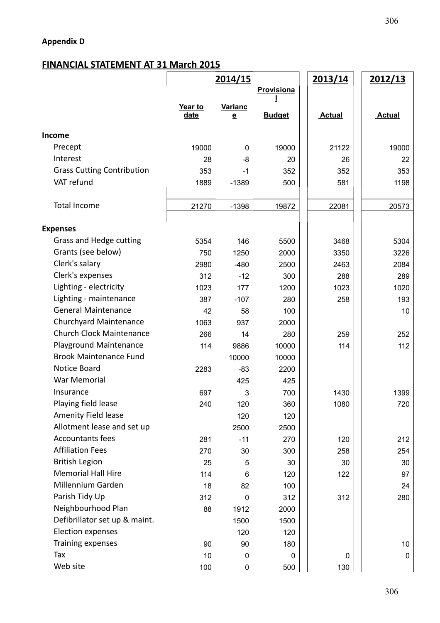# **Appendix D**

# **FINANCIAL STATEMENT AT 31 March 2015**

|                                   | 2014/15    |                |               | <u>2013/14</u> | 2012/13       |
|-----------------------------------|------------|----------------|---------------|----------------|---------------|
|                                   | Provisiona |                |               |                |               |
|                                   | Year to    | <b>Varianc</b> |               |                |               |
|                                   | date       | e              | <b>Budget</b> | <b>Actual</b>  | <b>Actual</b> |
| Income                            |            |                |               |                |               |
| Precept                           | 19000      | 0              | 19000         | 21122          | 19000         |
| Interest                          | 28         | $-8$           | 20            | 26             | 22            |
| <b>Grass Cutting Contribution</b> | 353        | $-1$           | 352           | 352            | 353           |
| VAT refund                        | 1889       | $-1389$        | 500           | 581            | 1198          |
| <b>Total Income</b>               | 21270      | $-1398$        | 19872         | 22081          | 20573         |
| <b>Expenses</b>                   |            |                |               |                |               |
| Grass and Hedge cutting           | 5354       | 146            | 5500          | 3468           | 5304          |
| Grants (see below)                | 750        | 1250           | 2000          | 3350           | 3226          |
| Clerk's salary                    | 2980       | $-480$         | 2500          | 2463           | 2084          |
| Clerk's expenses                  | 312        | $-12$          | 300           | 288            | 289           |
| Lighting - electricity            | 1023       | 177            | 1200          | 1023           | 1020          |
| Lighting - maintenance            | 387        | $-107$         | 280           | 258            | 193           |
| <b>General Maintenance</b>        | 42         | 58             | 100           |                | 10            |
| Churchyard Maintenance            | 1063       | 937            | 2000          |                |               |
| <b>Church Clock Maintenance</b>   | 266        | 14             | 280           | 259            | 252           |
| <b>Playground Maintenance</b>     | 114        | 9886           | 10000         | 114            | 112           |
| <b>Brook Maintenance Fund</b>     |            | 10000          | 10000         |                |               |
| Notice Board                      | 2283       | $-83$          | 2200          |                |               |
| War Memorial                      |            | 425            | 425           |                |               |
| Insurance                         | 697        | 3              | 700           | 1430           | 1399          |
| Playing field lease               | 240        | 120            | 360           | 1080           | 720           |
| Amenity Field lease               |            | 120            | 120           |                |               |
| Allotment lease and set up        |            | 2500           | 2500          |                |               |
| <b>Accountants fees</b>           | 281        | $-11$          | 270           | 120            | 212           |
| <b>Affiliation Fees</b>           | 270        | 30             | 300           | 258            | 254           |
| <b>British Legion</b>             | 25         | 5              | 30            | 30             | 30            |
| <b>Memorial Hall Hire</b>         | 114        | 6              | 120           | 122            | 97            |
| Millennium Garden                 | 18         | 82             | 100           |                | 24            |
| Parish Tidy Up                    | 312        | 0              | 312           | 312            | 280           |
| Neighbourhood Plan                | 88         | 1912           | 2000          |                |               |
| Defibrillator set up & maint.     |            | 1500           | 1500          |                |               |
| <b>Election expenses</b>          |            | 120            | 120           |                |               |
| Training expenses                 | 90         | 90             | 180           |                | 10            |
| Tax                               | 10         | $\mathbf{0}$   | $\mathbf 0$   | 0              | 0             |
| Web site                          | 100        | $\pmb{0}$      | 500           | 130            |               |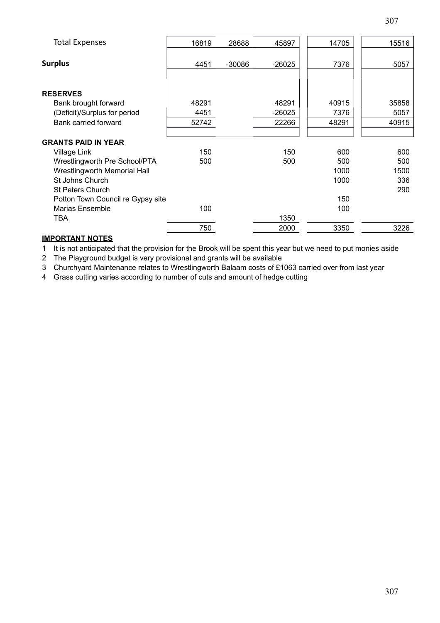| <b>Total Expenses</b>             | 16819 | 28688    | 45897    | 14705 | 15516 |
|-----------------------------------|-------|----------|----------|-------|-------|
| <b>Surplus</b>                    | 4451  | $-30086$ | $-26025$ | 7376  | 5057  |
| <b>RESERVES</b>                   |       |          |          |       |       |
| Bank brought forward              | 48291 |          | 48291    | 40915 | 35858 |
| (Deficit)/Surplus for period      | 4451  |          | $-26025$ | 7376  | 5057  |
| Bank carried forward              | 52742 |          | 22266    | 48291 | 40915 |
|                                   |       |          |          |       |       |
| <b>GRANTS PAID IN YEAR</b>        |       |          |          |       |       |
| Village Link                      | 150   |          | 150      | 600   | 600   |
| Wrestlingworth Pre School/PTA     | 500   |          | 500      | 500   | 500   |
| Wrestlingworth Memorial Hall      |       |          |          | 1000  | 1500  |
| St Johns Church                   |       |          |          | 1000  | 336   |
| <b>St Peters Church</b>           |       |          |          |       | 290   |
| Potton Town Council re Gypsy site |       |          |          | 150   |       |
| Marias Ensemble                   | 100   |          |          | 100   |       |
| TBA                               |       |          | 1350     |       |       |
|                                   | 750   |          | 2000     | 3350  | 3226  |

#### **IMPORTANT NOTES**

1 It is not anticipated that the provision for the Brook will be spent this year but we need to put monies aside

2 The Playground budget is very provisional and grants will be available

3 Churchyard Maintenance relates to Wrestlingworth Balaam costs of £1063 carried over from last year

4 Grass cutting varies according to number of cuts and amount of hedge cutting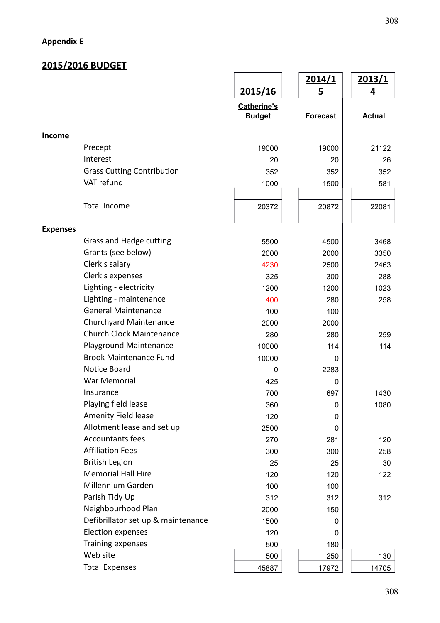# **Appendix E**

# **2015/2016 BUDGET**

|                 |                                    |                    | <u>2014/1</u>   | <u>2013/1</u>  |
|-----------------|------------------------------------|--------------------|-----------------|----------------|
|                 |                                    | 2015/16            | <u>5</u>        | $\overline{4}$ |
|                 |                                    | <b>Catherine's</b> |                 |                |
|                 |                                    | <b>Budget</b>      | <b>Forecast</b> | <b>Actual</b>  |
| Income          |                                    |                    |                 |                |
|                 | Precept                            | 19000              | 19000           |                |
|                 | Interest                           |                    |                 | 21122          |
|                 | <b>Grass Cutting Contribution</b>  | 20                 | 20              | 26             |
|                 | VAT refund                         | 352                | 352             | 352            |
|                 |                                    | 1000               | 1500            | 581            |
|                 | <b>Total Income</b>                | 20372              | 20872           | 22081          |
|                 |                                    |                    |                 |                |
| <b>Expenses</b> |                                    |                    |                 |                |
|                 | Grass and Hedge cutting            | 5500               | 4500            | 3468           |
|                 | Grants (see below)                 | 2000               | 2000            | 3350           |
|                 | Clerk's salary                     | 4230               | 2500            | 2463           |
|                 | Clerk's expenses                   | 325                | 300             | 288            |
|                 | Lighting - electricity             | 1200               | 1200            | 1023           |
|                 | Lighting - maintenance             | 400                | 280             | 258            |
|                 | <b>General Maintenance</b>         | 100                | 100             |                |
|                 | <b>Churchyard Maintenance</b>      | 2000               | 2000            |                |
|                 | <b>Church Clock Maintenance</b>    | 280                | 280             | 259            |
|                 | Playground Maintenance             | 10000              | 114             | 114            |
|                 | <b>Brook Maintenance Fund</b>      | 10000              | 0               |                |
|                 | Notice Board                       | 0                  | 2283            |                |
|                 | <b>War Memorial</b>                | 425                | 0               |                |
|                 | Insurance                          | 700                | 697             | 1430           |
|                 | Playing field lease                | 360                | $\mathbf 0$     | 1080           |
|                 | Amenity Field lease                | 120                | 0               |                |
|                 | Allotment lease and set up         | 2500               | 0               |                |
|                 | <b>Accountants fees</b>            | 270                | 281             | 120            |
|                 | <b>Affiliation Fees</b>            | 300                | 300             | 258            |
|                 | <b>British Legion</b>              | 25                 | 25              | 30             |
|                 | <b>Memorial Hall Hire</b>          | 120                | 120             | 122            |
|                 | Millennium Garden                  | 100                | 100             |                |
|                 | Parish Tidy Up                     | 312                | 312             | 312            |
|                 | Neighbourhood Plan                 | 2000               | 150             |                |
|                 | Defibrillator set up & maintenance | 1500               | 0               |                |
|                 | <b>Election expenses</b>           | 120                | 0               |                |
|                 | Training expenses                  | 500                | 180             |                |
|                 | Web site                           | 500                | 250             | 130            |
|                 | <b>Total Expenses</b>              | 45887              | 17972           | 14705          |